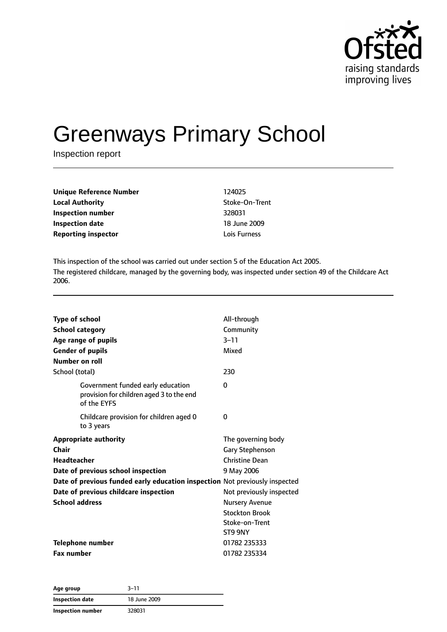

# Greenways Primary School

Inspection report

| <b>Unique Reference Number</b> | 124025         |
|--------------------------------|----------------|
| <b>Local Authority</b>         | Stoke-On-Trent |
| Inspection number              | 328031         |
| <b>Inspection date</b>         | 18 June 2009   |
| <b>Reporting inspector</b>     | Lois Furness   |

This inspection of the school was carried out under section 5 of the Education Act 2005. The registered childcare, managed by the governing body, was inspected under section 49 of the Childcare Act 2006.

| <b>Type of school</b>  |                                                                                              | All-through              |  |
|------------------------|----------------------------------------------------------------------------------------------|--------------------------|--|
| <b>School category</b> |                                                                                              | Community                |  |
|                        | Age range of pupils                                                                          | $3 - 11$                 |  |
|                        | <b>Gender of pupils</b>                                                                      | Mixed                    |  |
| Number on roll         |                                                                                              |                          |  |
| School (total)         |                                                                                              | 230                      |  |
|                        | Government funded early education<br>provision for children aged 3 to the end<br>of the EYFS | 0                        |  |
|                        | Childcare provision for children aged 0<br>to 3 years                                        | 0                        |  |
|                        | <b>Appropriate authority</b>                                                                 | The governing body       |  |
| Chair                  |                                                                                              | <b>Gary Stephenson</b>   |  |
| <b>Headteacher</b>     |                                                                                              | <b>Christine Dean</b>    |  |
|                        | Date of previous school inspection                                                           | 9 May 2006               |  |
|                        | Date of previous funded early education inspection Not previously inspected                  |                          |  |
|                        | Date of previous childcare inspection                                                        | Not previously inspected |  |
| <b>School address</b>  |                                                                                              | <b>Nursery Avenue</b>    |  |
|                        |                                                                                              | <b>Stockton Brook</b>    |  |
|                        |                                                                                              | Stoke-on-Trent           |  |
|                        |                                                                                              | ST9 9NY                  |  |
|                        | <b>Telephone number</b>                                                                      | 01782 235333             |  |
| <b>Fax number</b>      |                                                                                              | 01782 235334             |  |

| Age group         | $3 - 11$     |
|-------------------|--------------|
| Inspection date   | 18 June 2009 |
| Inspection number | 328031       |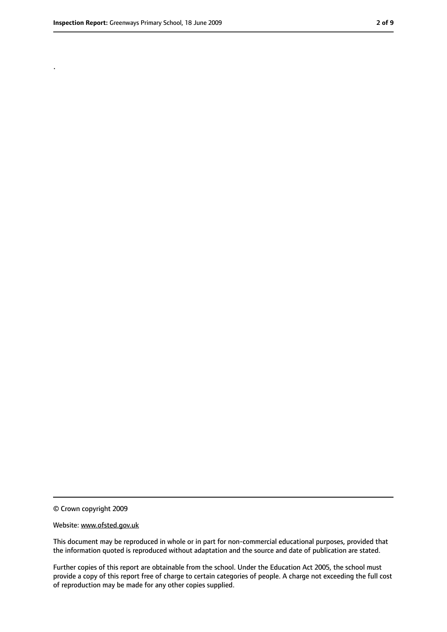.

<sup>©</sup> Crown copyright 2009

Website: www.ofsted.gov.uk

This document may be reproduced in whole or in part for non-commercial educational purposes, provided that the information quoted is reproduced without adaptation and the source and date of publication are stated.

Further copies of this report are obtainable from the school. Under the Education Act 2005, the school must provide a copy of this report free of charge to certain categories of people. A charge not exceeding the full cost of reproduction may be made for any other copies supplied.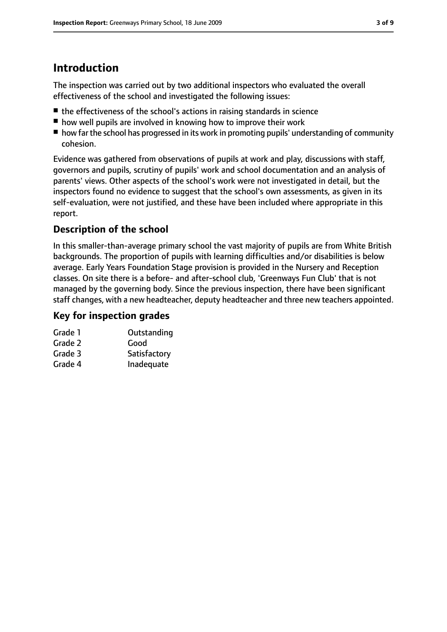# **Introduction**

The inspection was carried out by two additional inspectors who evaluated the overall effectiveness of the school and investigated the following issues:

- the effectiveness of the school's actions in raising standards in science
- how well pupils are involved in knowing how to improve their work
- how far the school has progressed in its work in promoting pupils' understanding of community cohesion.

Evidence was gathered from observations of pupils at work and play, discussions with staff, governors and pupils, scrutiny of pupils' work and school documentation and an analysis of parents' views. Other aspects of the school's work were not investigated in detail, but the inspectors found no evidence to suggest that the school's own assessments, as given in its self-evaluation, were not justified, and these have been included where appropriate in this report.

## **Description of the school**

In this smaller-than-average primary school the vast majority of pupils are from White British backgrounds. The proportion of pupils with learning difficulties and/or disabilities is below average. Early Years Foundation Stage provision is provided in the Nursery and Reception classes. On site there is a before- and after-school club, 'Greenways Fun Club' that is not managed by the governing body. Since the previous inspection, there have been significant staff changes, with a new headteacher, deputy headteacher and three new teachers appointed.

#### **Key for inspection grades**

| Grade 1 | Outstanding  |
|---------|--------------|
| Grade 2 | Good         |
| Grade 3 | Satisfactory |
|         |              |

Grade 4 Inadequate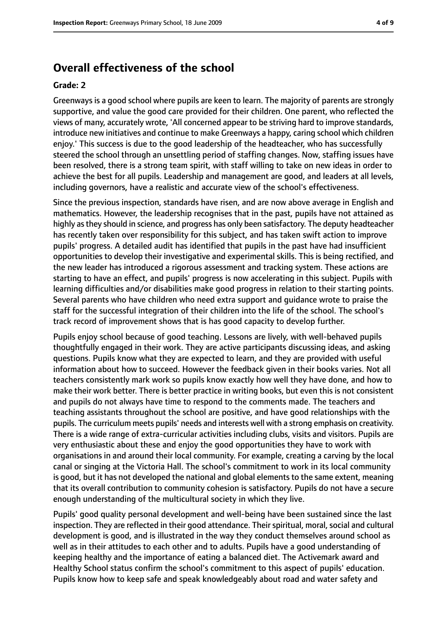## **Overall effectiveness of the school**

#### **Grade: 2**

Greenways is a good school where pupils are keen to learn. The majority of parents are strongly supportive, and value the good care provided for their children. One parent, who reflected the views of many, accurately wrote, 'All concerned appear to be striving hard to improve standards, introduce new initiatives and continue to make Greenways a happy, caring school which children enjoy.' This success is due to the good leadership of the headteacher, who has successfully steered the school through an unsettling period of staffing changes. Now, staffing issues have been resolved, there is a strong team spirit, with staff willing to take on new ideas in order to achieve the best for all pupils. Leadership and management are good, and leaders at all levels, including governors, have a realistic and accurate view of the school's effectiveness.

Since the previous inspection, standards have risen, and are now above average in English and mathematics. However, the leadership recognises that in the past, pupils have not attained as highly asthey should in science, and progress has only been satisfactory. The deputy headteacher has recently taken over responsibility for this subject, and has taken swift action to improve pupils' progress. A detailed audit has identified that pupils in the past have had insufficient opportunities to develop their investigative and experimental skills. This is being rectified, and the new leader has introduced a rigorous assessment and tracking system. These actions are starting to have an effect, and pupils' progress is now accelerating in this subject. Pupils with learning difficulties and/or disabilities make good progress in relation to their starting points. Several parents who have children who need extra support and guidance wrote to praise the staff for the successful integration of their children into the life of the school. The school's track record of improvement shows that is has good capacity to develop further.

Pupils enjoy school because of good teaching. Lessons are lively, with well-behaved pupils thoughtfully engaged in their work. They are active participants discussing ideas, and asking questions. Pupils know what they are expected to learn, and they are provided with useful information about how to succeed. However the feedback given in their books varies. Not all teachers consistently mark work so pupils know exactly how well they have done, and how to make their work better. There is better practice in writing books, but even this is not consistent and pupils do not always have time to respond to the comments made. The teachers and teaching assistants throughout the school are positive, and have good relationships with the pupils. The curriculum meets pupils' needs and interests well with a strong emphasis on creativity. There is a wide range of extra-curricular activities including clubs, visits and visitors. Pupils are very enthusiastic about these and enjoy the good opportunities they have to work with organisations in and around their local community. For example, creating a carving by the local canal or singing at the Victoria Hall. The school's commitment to work in its local community is good, but it has not developed the national and global elements to the same extent, meaning that its overall contribution to community cohesion is satisfactory. Pupils do not have a secure enough understanding of the multicultural society in which they live.

Pupils' good quality personal development and well-being have been sustained since the last inspection. They are reflected in their good attendance. Their spiritual, moral, social and cultural development is good, and is illustrated in the way they conduct themselves around school as well as in their attitudes to each other and to adults. Pupils have a good understanding of keeping healthy and the importance of eating a balanced diet. The Activemark award and Healthy School status confirm the school's commitment to this aspect of pupils' education. Pupils know how to keep safe and speak knowledgeably about road and water safety and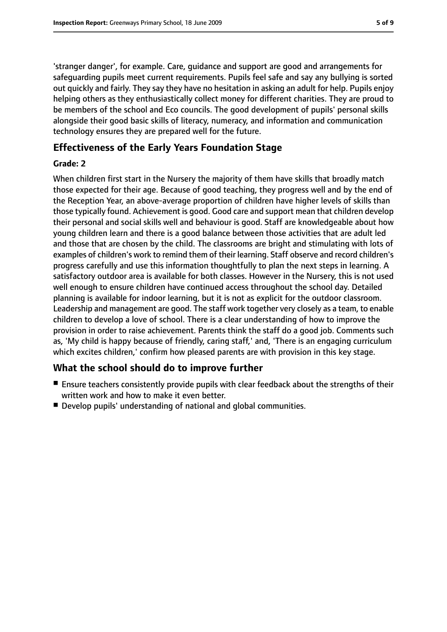'stranger danger', for example. Care, guidance and support are good and arrangements for safeguarding pupils meet current requirements. Pupils feel safe and say any bullying is sorted out quickly and fairly. They say they have no hesitation in asking an adult for help. Pupils enjoy helping others as they enthusiastically collect money for different charities. They are proud to be members of the school and Eco councils. The good development of pupils' personal skills alongside their good basic skills of literacy, numeracy, and information and communication technology ensures they are prepared well for the future.

#### **Effectiveness of the Early Years Foundation Stage**

#### **Grade: 2**

When children first start in the Nursery the majority of them have skills that broadly match those expected for their age. Because of good teaching, they progress well and by the end of the Reception Year, an above-average proportion of children have higher levels of skills than those typically found. Achievement is good. Good care and support mean that children develop their personal and social skills well and behaviour is good. Staff are knowledgeable about how young children learn and there is a good balance between those activities that are adult led and those that are chosen by the child. The classrooms are bright and stimulating with lots of examples of children's work to remind them of their learning. Staff observe and record children's progress carefully and use this information thoughtfully to plan the next steps in learning. A satisfactory outdoor area is available for both classes. However in the Nursery, this is not used well enough to ensure children have continued access throughout the school day. Detailed planning is available for indoor learning, but it is not as explicit for the outdoor classroom. Leadership and management are good. The staff work together very closely as a team, to enable children to develop a love of school. There is a clear understanding of how to improve the provision in order to raise achievement. Parents think the staff do a good job. Comments such as, 'My child is happy because of friendly, caring staff,' and, 'There is an engaging curriculum which excites children,' confirm how pleased parents are with provision in this key stage.

#### **What the school should do to improve further**

- Ensure teachers consistently provide pupils with clear feedback about the strengths of their written work and how to make it even better.
- Develop pupils' understanding of national and global communities.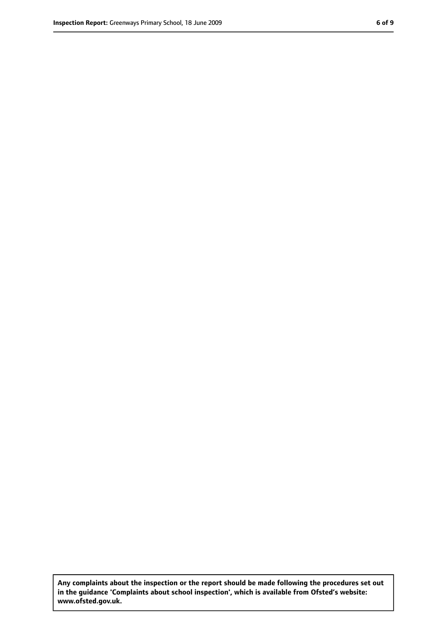**Any complaints about the inspection or the report should be made following the procedures set out in the guidance 'Complaints about school inspection', which is available from Ofsted's website: www.ofsted.gov.uk.**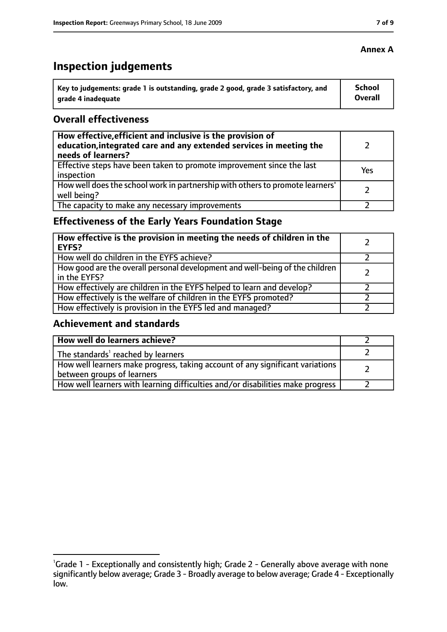# **Inspection judgements**

| ˈ Key to judgements: grade 1 is outstanding, grade 2 good, grade 3 satisfactory, and | <b>School</b>  |
|--------------------------------------------------------------------------------------|----------------|
| arade 4 inadequate                                                                   | <b>Overall</b> |

#### **Overall effectiveness**

| How effective, efficient and inclusive is the provision of<br>education, integrated care and any extended services in meeting the<br>needs of learners? |     |
|---------------------------------------------------------------------------------------------------------------------------------------------------------|-----|
| Effective steps have been taken to promote improvement since the last<br>inspection                                                                     | Yes |
| How well does the school work in partnership with others to promote learners'<br>well being?                                                            |     |
| The capacity to make any necessary improvements                                                                                                         |     |

## **Effectiveness of the Early Years Foundation Stage**

| How effective is the provision in meeting the needs of children in the<br>l EYFS?            |  |
|----------------------------------------------------------------------------------------------|--|
| How well do children in the EYFS achieve?                                                    |  |
| How good are the overall personal development and well-being of the children<br>in the EYFS? |  |
| How effectively are children in the EYFS helped to learn and develop?                        |  |
| How effectively is the welfare of children in the EYFS promoted?                             |  |
| How effectively is provision in the EYFS led and managed?                                    |  |

#### **Achievement and standards**

| How well do learners achieve?                                                                               |  |
|-------------------------------------------------------------------------------------------------------------|--|
| The standards <sup>1</sup> reached by learners                                                              |  |
| How well learners make progress, taking account of any significant variations<br>between groups of learners |  |
| How well learners with learning difficulties and/or disabilities make progress                              |  |

#### **Annex A**

<sup>&</sup>lt;sup>1</sup>Grade 1 - Exceptionally and consistently high; Grade 2 - Generally above average with none significantly below average; Grade 3 - Broadly average to below average; Grade 4 - Exceptionally low.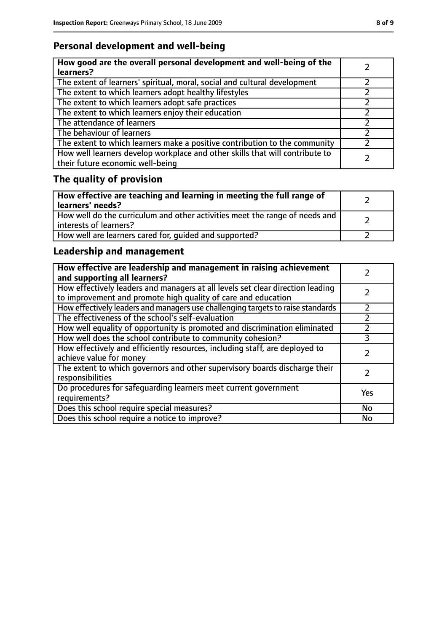## **Personal development and well-being**

| How good are the overall personal development and well-being of the<br>learners?                                 |  |
|------------------------------------------------------------------------------------------------------------------|--|
| The extent of learners' spiritual, moral, social and cultural development                                        |  |
| The extent to which learners adopt healthy lifestyles                                                            |  |
| The extent to which learners adopt safe practices                                                                |  |
| The extent to which learners enjoy their education                                                               |  |
| The attendance of learners                                                                                       |  |
| The behaviour of learners                                                                                        |  |
| The extent to which learners make a positive contribution to the community                                       |  |
| How well learners develop workplace and other skills that will contribute to<br>their future economic well-being |  |

# **The quality of provision**

| How effective are teaching and learning in meeting the full range of<br>learners' needs?              |  |
|-------------------------------------------------------------------------------------------------------|--|
| How well do the curriculum and other activities meet the range of needs and<br>interests of learners? |  |
| How well are learners cared for, quided and supported?                                                |  |

## **Leadership and management**

| How effective are leadership and management in raising achievement<br>and supporting all learners?                                              |     |
|-------------------------------------------------------------------------------------------------------------------------------------------------|-----|
| How effectively leaders and managers at all levels set clear direction leading<br>to improvement and promote high quality of care and education |     |
| How effectively leaders and managers use challenging targets to raise standards                                                                 |     |
| The effectiveness of the school's self-evaluation                                                                                               |     |
| How well equality of opportunity is promoted and discrimination eliminated                                                                      |     |
| How well does the school contribute to community cohesion?                                                                                      | 3   |
| How effectively and efficiently resources, including staff, are deployed to<br>achieve value for money                                          |     |
| The extent to which governors and other supervisory boards discharge their<br>responsibilities                                                  |     |
| Do procedures for safeguarding learners meet current government<br>requirements?                                                                | Yes |
| Does this school require special measures?                                                                                                      | No  |
| Does this school require a notice to improve?                                                                                                   | No  |